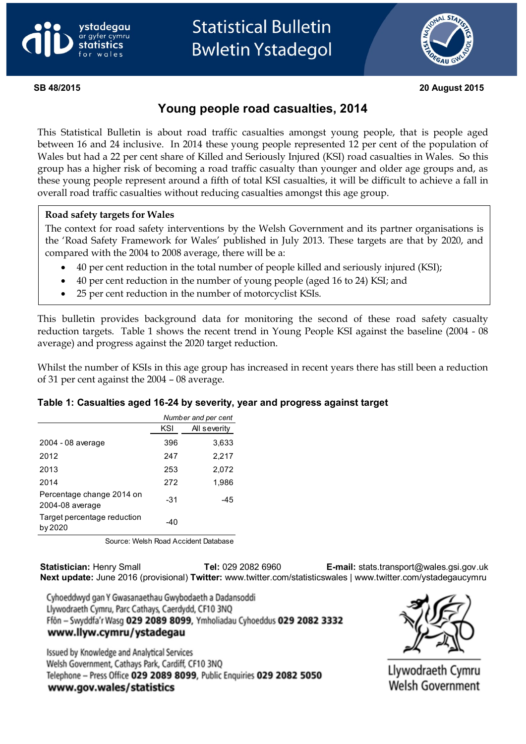



**SB 48/2015 20 August 2015**

## **Young people road casualties, 2014**

This Statistical Bulletin is about road traffic casualties amongst young people, that is people aged between 16 and 24 inclusive. In 2014 these young people represented 12 per cent of the population of Wales but had a 22 per cent share of Killed and Seriously Injured (KSI) road casualties in Wales. So this group has a higher risk of becoming a road traffic casualty than younger and older age groups and, as these young people represent around a fifth of total KSI casualties, it will be difficult to achieve a fall in overall road traffic casualties without reducing casualties amongst this age group.

#### **Road safety targets for Wales**

The context for road safety interventions by the Welsh Government and its partner organisations is the 'Road Safety Framework for Wales' published in July 2013. These targets are that by 2020, and compared with the 2004 to 2008 average, there will be a:

- 40 per cent reduction in the total number of people killed and seriously injured (KSI);
- 40 per cent reduction in the number of young people (aged 16 to 24) KSI; and
- 25 per cent reduction in the number of motorcyclist KSIs.

This bulletin provides background data for monitoring the second of these road safety casualty reduction targets. Table 1 shows the recent trend in Young People KSI against the baseline (2004 - 08 average) and progress against the 2020 target reduction.

Whilst the number of KSIs in this age group has increased in recent years there has still been a reduction of 31 per cent against the 2004 – 08 average.

#### **Table 1: Casualties aged 16-24 by severity, year and progress against target**

|                                              | Number and per cent |       |  |  |
|----------------------------------------------|---------------------|-------|--|--|
|                                              | All severity<br>KSI |       |  |  |
| 2004 - 08 average                            | 396                 | 3,633 |  |  |
| 2012                                         | 247                 | 2,217 |  |  |
| 2013                                         | 253                 | 2,072 |  |  |
| 2014                                         | 272                 | 1,986 |  |  |
| Percentage change 2014 on<br>2004-08 average | -31                 | -45   |  |  |
| Target percentage reduction<br>by 2020       | -40                 |       |  |  |

Source: Welsh Road Accident Database

**Statistician:** Henry Small **Tel:** 029 2082 6960 **E-mail:** stats.transport@wales.gsi.gov.uk **Next update:** June 2016 (provisional) **Twitter:** www.twitter.com/statisticswales | www.twitter.com/ystadegaucymru

Cyhoeddwyd gan Y Gwasanaethau Gwybodaeth a Dadansoddi Llywodraeth Cymru, Parc Cathays, Caerdydd, CF10 3NQ Ffôn - Swyddfa'r Wasg 029 2089 8099, Ymholiadau Cyhoeddus 029 2082 3332 www.llyw.cymru/ystadegau

Issued by Knowledge and Analytical Services Welsh Government, Cathays Park, Cardiff, CF10 3NO Telephone - Press Office 029 2089 8099, Public Enquiries 029 2082 5050 www.gov.wales/statistics



Llywodraeth Cymru **Welsh Government**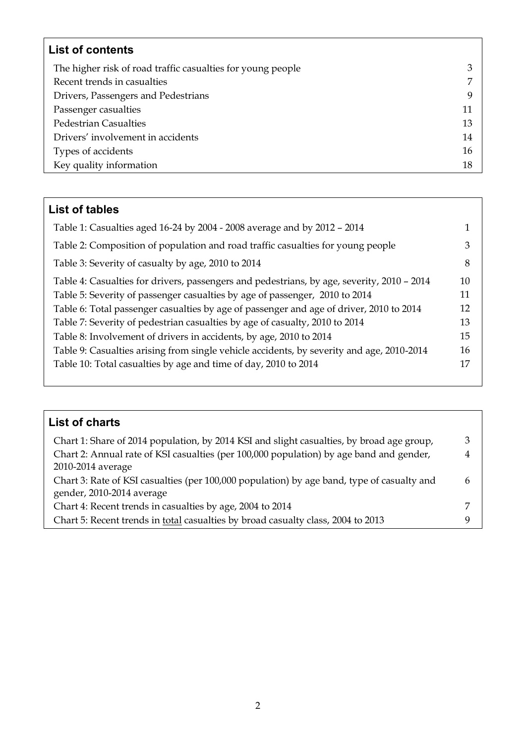| <b>List of contents</b>                                     |    |
|-------------------------------------------------------------|----|
| The higher risk of road traffic casualties for young people | 3  |
| Recent trends in casualties                                 | 7  |
| Drivers, Passengers and Pedestrians                         | 9  |
| Passenger casualties                                        | 11 |
| <b>Pedestrian Casualties</b>                                | 13 |
| Drivers' involvement in accidents                           | 14 |
| Types of accidents                                          | 16 |
| Key quality information                                     | 18 |

# **List of tables**

| Table 1: Casualties aged 16-24 by 2004 - 2008 average and by 2012 - 2014                   |    |
|--------------------------------------------------------------------------------------------|----|
| Table 2: Composition of population and road traffic casualties for young people            | 3  |
| Table 3: Severity of casualty by age, 2010 to 2014                                         | 8  |
| Table 4: Casualties for drivers, passengers and pedestrians, by age, severity, 2010 - 2014 | 10 |
| Table 5: Severity of passenger casualties by age of passenger, 2010 to 2014                | 11 |
| Table 6: Total passenger casualties by age of passenger and age of driver, 2010 to 2014    | 12 |
| Table 7: Severity of pedestrian casualties by age of casualty, 2010 to 2014                | 13 |
| Table 8: Involvement of drivers in accidents, by age, 2010 to 2014                         | 15 |
| Table 9: Casualties arising from single vehicle accidents, by severity and age, 2010-2014  | 16 |
| Table 10: Total casualties by age and time of day, 2010 to 2014                            | 17 |
|                                                                                            |    |

# **List of charts**

| Chart 1: Share of 2014 population, by 2014 KSI and slight casualties, by broad age group,  | З |
|--------------------------------------------------------------------------------------------|---|
| Chart 2: Annual rate of KSI casualties (per 100,000 population) by age band and gender,    | 4 |
| 2010-2014 average                                                                          |   |
| Chart 3: Rate of KSI casualties (per 100,000 population) by age band, type of casualty and | h |
| gender, 2010-2014 average                                                                  |   |
| Chart 4: Recent trends in casualties by age, 2004 to 2014                                  |   |
| Chart 5: Recent trends in total casualties by broad casualty class, 2004 to 2013           |   |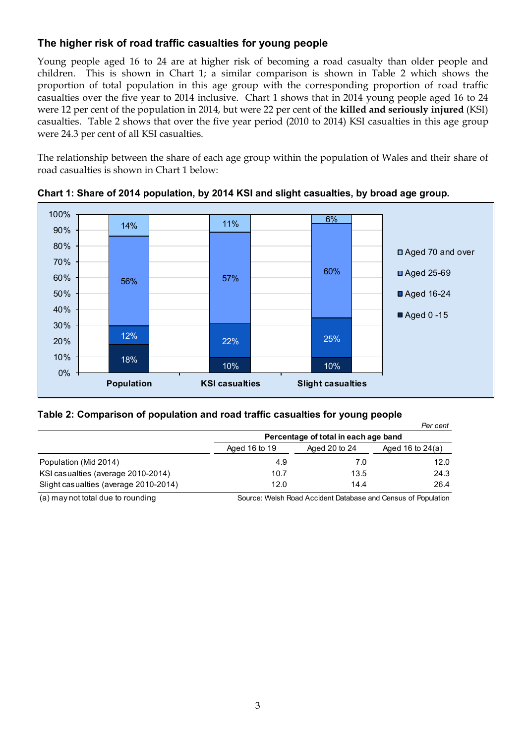## **The higher risk of road traffic casualties for young people**

Young people aged 16 to 24 are at higher risk of becoming a road casualty than older people and children. This is shown in Chart 1; a similar comparison is shown in Table 2 which shows the proportion of total population in this age group with the corresponding proportion of road traffic casualties over the five year to 2014 inclusive. Chart 1 shows that in 2014 young people aged 16 to 24 were 12 per cent of the population in 2014, but were 22 per cent of the **killed and seriously injured** (KSI) casualties. Table 2 shows that over the five year period (2010 to 2014) KSI casualties in this age group were 24.3 per cent of all KSI casualties.

The relationship between the share of each age group within the population of Wales and their share of road casualties is shown in Chart 1 below:



**Chart 1: Share of 2014 population, by 2014 KSI and slight casualties, by broad age group.**

#### **Table 2: Comparison of population and road traffic casualties for young people**

|                                       |                                      |      | Per cent           |  |  |
|---------------------------------------|--------------------------------------|------|--------------------|--|--|
|                                       | Percentage of total in each age band |      |                    |  |  |
|                                       | Aged 16 to 19<br>Aged 20 to 24       |      | Aged 16 to $24(a)$ |  |  |
| Population (Mid 2014)                 | 4.9                                  | 7.0  | 12.0               |  |  |
| KSI casualties (average 2010-2014)    | 10.7                                 | 13.5 | 24.3               |  |  |
| Slight casualties (average 2010-2014) | 12.0                                 | 14.4 | 26.4               |  |  |

(a) may not total due to rounding Source: Welsh Road Accident Database and Census of Population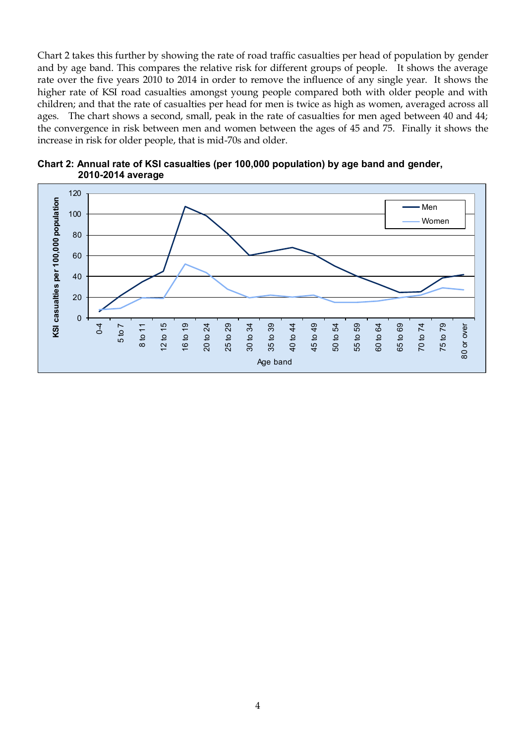Chart 2 takes this further by showing the rate of road traffic casualties per head of population by gender and by age band. This compares the relative risk for different groups of people. It shows the average rate over the five years 2010 to 2014 in order to remove the influence of any single year. It shows the higher rate of KSI road casualties amongst young people compared both with older people and with children; and that the rate of casualties per head for men is twice as high as women, averaged across all ages. The chart shows a second, small, peak in the rate of casualties for men aged between 40 and 44; the convergence in risk between men and women between the ages of 45 and 75. Finally it shows the increase in risk for older people, that is mid-70s and older.



**Chart 2: Annual rate of KSI casualties (per 100,000 population) by age band and gender, 2010-2014 average**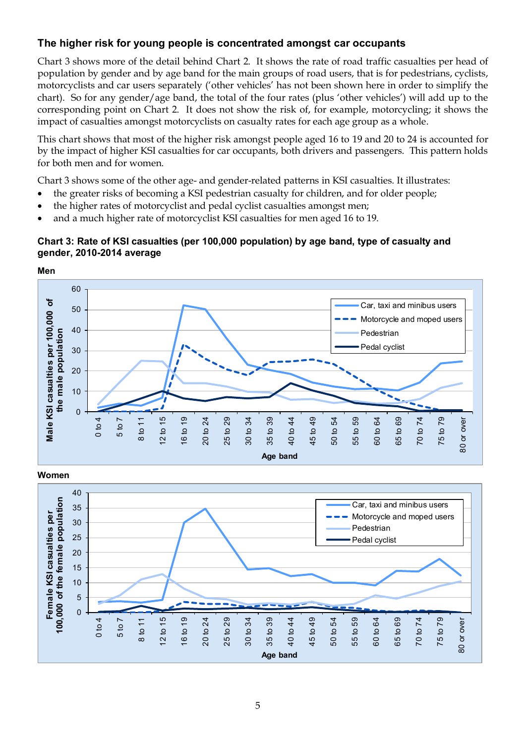## **The higher risk for young people is concentrated amongst car occupants**

Chart 3 shows more of the detail behind Chart 2. It shows the rate of road traffic casualties per head of population by gender and by age band for the main groups of road users, that is for pedestrians, cyclists, motorcyclists and car users separately ('other vehicles' has not been shown here in order to simplify the chart). So for any gender/age band, the total of the four rates (plus 'other vehicles') will add up to the corresponding point on Chart 2. It does not show the risk of, for example, motorcycling; it shows the impact of casualties amongst motorcyclists on casualty rates for each age group as a whole.

This chart shows that most of the higher risk amongst people aged 16 to 19 and 20 to 24 is accounted for by the impact of higher KSI casualties for car occupants, both drivers and passengers. This pattern holds for both men and for women.

Chart 3 shows some of the other age- and gender-related patterns in KSI casualties. It illustrates:

- the greater risks of becoming a KSI pedestrian casualty for children, and for older people;
- the higher rates of motorcyclist and pedal cyclist casualties amongst men;
- and a much higher rate of motorcyclist KSI casualties for men aged 16 to 19.

#### **Chart 3: Rate of KSI casualties (per 100,000 population) by age band, type of casualty and gender, 2010-2014 average**



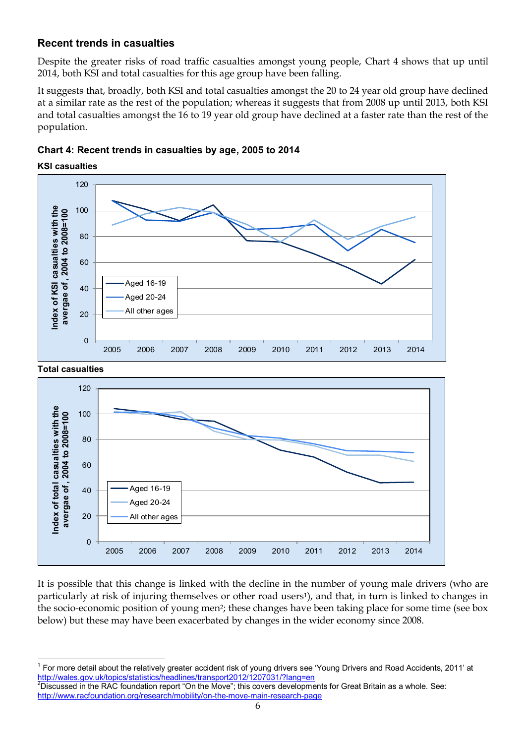## **Recent trends in casualties**

**KSI casualties**

 $\overline{\phantom{a}}$ 

Despite the greater risks of road traffic casualties amongst young people, Chart 4 shows that up until 2014, both KSI and total casualties for this age group have been falling.

It suggests that, broadly, both KSI and total casualties amongst the 20 to 24 year old group have declined at a similar rate as the rest of the population; whereas it suggests that from 2008 up until 2013, both KSI and total casualties amongst the 16 to 19 year old group have declined at a faster rate than the rest of the population.

**Chart 4: Recent trends in casualties by age, 2005 to 2014**

 $120$ 00<br>80<br>8 0 **Index of KSI casualties with the**  ndex of KSI casualties with the<br>avergae of , 2004 to 2008=100 100 **avergae of , 2004 to 2008=100** 80<br>60<br>0 80 60<br>40 60 40<br>20 Aged 16-19 40 Aged 20-24 All other ages 20  $\overline{0}$ 





It is possible that this change is linked with the decline in the number of young male drivers (who are particularly at risk of injuring themselves or other road users1), and that, in turn is linked to changes in the socio-economic position of young men2; these changes have been taking place for some time (see box below) but these may have been exacerbated by changes in the wider economy since 2008.

<sup>1</sup> For more detail about the relatively greater accident risk of young drivers see 'Young Drivers and Road Accidents, 2011' at <http://wales.gov.uk/topics/statistics/headlines/transport2012/1207031/?lang=en>

<sup>2</sup>Discussed in the RAC foundation report "On the Move"; this covers developments for Great Britain as a whole. See: <http://www.racfoundation.org/research/mobility/on-the-move-main-research-page>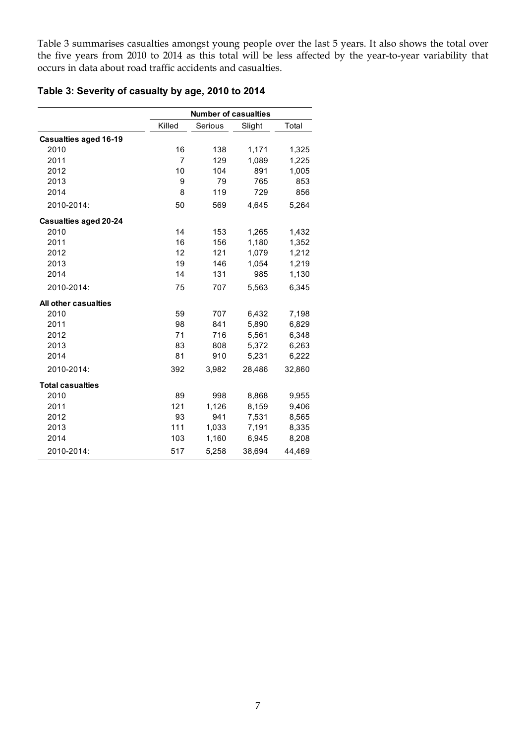Table 3 summarises casualties amongst young people over the last 5 years. It also shows the total over the five years from 2010 to 2014 as this total will be less affected by the year-to-year variability that occurs in data about road traffic accidents and casualties.

## **Table 3: Severity of casualty by age, 2010 to 2014**

|                              |                | <b>Number of casualties</b> |        |        |
|------------------------------|----------------|-----------------------------|--------|--------|
|                              | Killed         | Serious                     | Slight | Total  |
| <b>Casualties aged 16-19</b> |                |                             |        |        |
| 2010                         | 16             | 138                         | 1,171  | 1,325  |
| 2011                         | $\overline{7}$ | 129                         | 1,089  | 1,225  |
| 2012                         | 10             | 104                         | 891    | 1,005  |
| 2013                         | 9              | 79                          | 765    | 853    |
| 2014                         | 8              | 119                         | 729    | 856    |
| 2010-2014:                   | 50             | 569                         | 4,645  | 5,264  |
| <b>Casualties aged 20-24</b> |                |                             |        |        |
| 2010                         | 14             | 153                         | 1,265  | 1,432  |
| 2011                         | 16             | 156                         | 1,180  | 1,352  |
| 2012                         | 12             | 121                         | 1,079  | 1,212  |
| 2013                         | 19             | 146                         | 1,054  | 1,219  |
| 2014                         | 14             | 131                         | 985    | 1,130  |
| 2010-2014:                   | 75             | 707                         | 5,563  | 6,345  |
| All other casualties         |                |                             |        |        |
| 2010                         | 59             | 707                         | 6,432  | 7,198  |
| 2011                         | 98             | 841                         | 5,890  | 6,829  |
| 2012                         | 71             | 716                         | 5,561  | 6,348  |
| 2013                         | 83             | 808                         | 5,372  | 6,263  |
| 2014                         | 81             | 910                         | 5,231  | 6,222  |
| 2010-2014:                   | 392            | 3,982                       | 28,486 | 32,860 |
| <b>Total casualties</b>      |                |                             |        |        |
| 2010                         | 89             | 998                         | 8,868  | 9,955  |
| 2011                         | 121            | 1,126                       | 8,159  | 9,406  |
| 2012                         | 93             | 941                         | 7,531  | 8,565  |
| 2013                         | 111            | 1,033                       | 7,191  | 8,335  |
| 2014                         | 103            | 1,160                       | 6,945  | 8,208  |
| 2010-2014:                   | 517            | 5,258                       | 38,694 | 44,469 |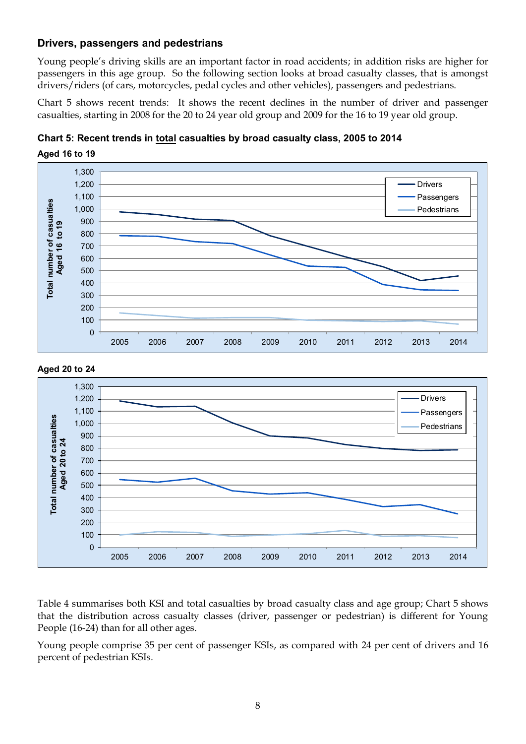#### **Drivers, passengers and pedestrians**

Young people's driving skills are an important factor in road accidents; in addition risks are higher for passengers in this age group. So the following section looks at broad casualty classes, that is amongst drivers/riders (of cars, motorcycles, pedal cycles and other vehicles), passengers and pedestrians.

Chart 5 shows recent trends: It shows the recent declines in the number of driver and passenger casualties, starting in 2008 for the 20 to 24 year old group and 2009 for the 16 to 19 year old group.







Table 4 summarises both KSI and total casualties by broad casualty class and age group; Chart 5 shows that the distribution across casualty classes (driver, passenger or pedestrian) is different for Young People (16-24) than for all other ages.

Young people comprise 35 per cent of passenger KSIs, as compared with 24 per cent of drivers and 16 percent of pedestrian KSIs.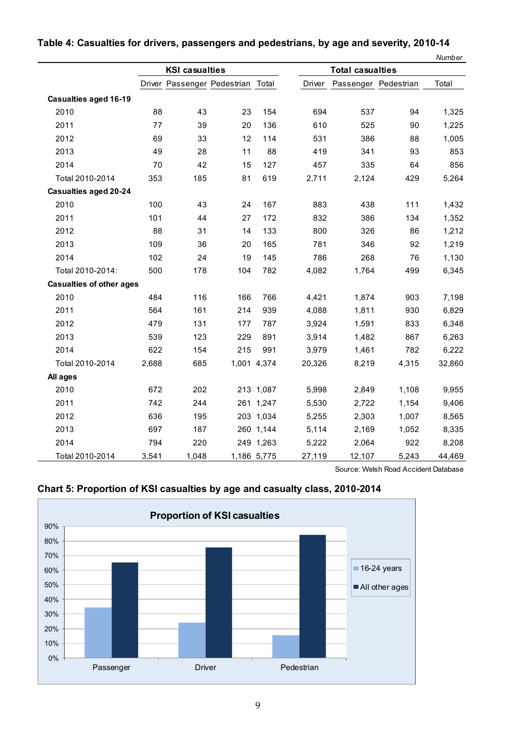|                                 |       |                       |                                   |             |        |                         |       | Number |
|---------------------------------|-------|-----------------------|-----------------------------------|-------------|--------|-------------------------|-------|--------|
|                                 |       | <b>KSI casualties</b> |                                   |             |        | <b>Total casualties</b> |       |        |
|                                 |       |                       | Driver Passenger Pedestrian Total |             | Driver | Passenger Pedestrian    |       | Total  |
| <b>Casualties aged 16-19</b>    |       |                       |                                   |             |        |                         |       |        |
| 2010                            | 88    | 43                    | 23                                | 154         | 694    | 537                     | 94    | 1,325  |
| 2011                            | 77    | 39                    | 20                                | 136         | 610    | 525                     | 90    | 1,225  |
| 2012                            | 69    | 33                    | 12                                | 114         | 531    | 386                     | 88    | 1,005  |
| 2013                            | 49    | 28                    | 11                                | 88          | 419    | 341                     | 93    | 853    |
| 2014                            | 70    | 42                    | 15                                | 127         | 457    | 335                     | 64    | 856    |
| Total 2010-2014                 | 353   | 185                   | 81                                | 619         | 2,711  | 2,124                   | 429   | 5,264  |
| <b>Casualties aged 20-24</b>    |       |                       |                                   |             |        |                         |       |        |
| 2010                            | 100   | 43                    | 24                                | 167         | 883    | 438                     | 111   | 1,432  |
| 2011                            | 101   | 44                    | 27                                | 172         | 832    | 386                     | 134   | 1,352  |
| 2012                            | 88    | 31                    | 14                                | 133         | 800    | 326                     | 86    | 1,212  |
| 2013                            | 109   | 36                    | 20                                | 165         | 781    | 346                     | 92    | 1,219  |
| 2014                            | 102   | 24                    | 19                                | 145         | 786    | 268                     | 76    | 1,130  |
| Total 2010-2014:                | 500   | 178                   | 104                               | 782         | 4,082  | 1,764                   | 499   | 6,345  |
| <b>Casualties of other ages</b> |       |                       |                                   |             |        |                         |       |        |
| 2010                            | 484   | 116                   | 166                               | 766         | 4,421  | 1,874                   | 903   | 7,198  |
| 2011                            | 564   | 161                   | 214                               | 939         | 4,088  | 1,811                   | 930   | 6,829  |
| 2012                            | 479   | 131                   | 177                               | 787         | 3,924  | 1,591                   | 833   | 6,348  |
| 2013                            | 539   | 123                   | 229                               | 891         | 3,914  | 1,482                   | 867   | 6,263  |
| 2014                            | 622   | 154                   | 215                               | 991         | 3,979  | 1,461                   | 782   | 6,222  |
| Total 2010-2014                 | 2,688 | 685                   |                                   | 1,001 4,374 | 20,326 | 8,219                   | 4,315 | 32,860 |
| All ages                        |       |                       |                                   |             |        |                         |       |        |
| 2010                            | 672   | 202                   |                                   | 213 1,087   | 5,998  | 2,849                   | 1,108 | 9,955  |
| 2011                            | 742   | 244                   |                                   | 261 1,247   | 5,530  | 2,722                   | 1,154 | 9,406  |
| 2012                            | 636   | 195                   |                                   | 203 1,034   | 5,255  | 2,303                   | 1,007 | 8,565  |
| 2013                            | 697   | 187                   |                                   | 260 1,144   | 5,114  | 2,169                   | 1,052 | 8,335  |
| 2014                            | 794   | 220                   |                                   | 249 1,263   | 5,222  | 2,064                   | 922   | 8,208  |
| Total 2010-2014                 | 3,541 | 1,048                 |                                   | 1,186 5,775 | 27,119 | 12,107                  | 5,243 | 44,469 |

#### **Table 4: Casualties for drivers, passengers and pedestrians, by age and severity, 2010-14**



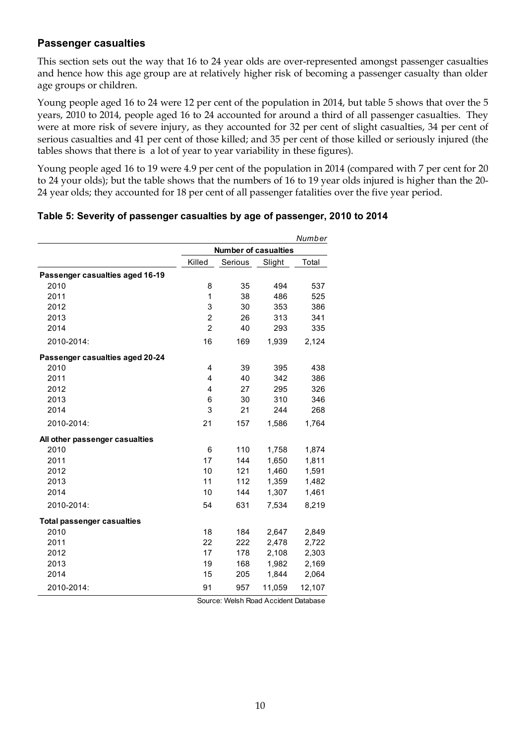## **Passenger casualties**

This section sets out the way that 16 to 24 year olds are over-represented amongst passenger casualties and hence how this age group are at relatively higher risk of becoming a passenger casualty than older age groups or children.

Young people aged 16 to 24 were 12 per cent of the population in 2014, but table 5 shows that over the 5 years, 2010 to 2014, people aged 16 to 24 accounted for around a third of all passenger casualties. They were at more risk of severe injury, as they accounted for 32 per cent of slight casualties, 34 per cent of serious casualties and 41 per cent of those killed; and 35 per cent of those killed or seriously injured (the tables shows that there is a lot of year to year variability in these figures).

Young people aged 16 to 19 were 4.9 per cent of the population in 2014 (compared with 7 per cent for 20 to 24 your olds); but the table shows that the numbers of 16 to 19 year olds injured is higher than the 20- 24 year olds; they accounted for 18 per cent of all passenger fatalities over the five year period.

|                                   |                |                             |        | Number |
|-----------------------------------|----------------|-----------------------------|--------|--------|
|                                   |                | <b>Number of casualties</b> |        |        |
|                                   | Killed         | Serious                     | Slight | Total  |
| Passenger casualties aged 16-19   |                |                             |        |        |
| 2010                              | 8              | 35                          | 494    | 537    |
| 2011                              | 1              | 38                          | 486    | 525    |
| 2012                              | 3              | 30                          | 353    | 386    |
| 2013                              | $\overline{2}$ | 26                          | 313    | 341    |
| 2014                              | $\overline{2}$ | 40                          | 293    | 335    |
| 2010-2014:                        | 16             | 169                         | 1,939  | 2,124  |
| Passenger casualties aged 20-24   |                |                             |        |        |
| 2010                              | 4              | 39                          | 395    | 438    |
| 2011                              | 4              | 40                          | 342    | 386    |
| 2012                              | 4              | 27                          | 295    | 326    |
| 2013                              | 6              | 30                          | 310    | 346    |
| 2014                              | 3              | 21                          | 244    | 268    |
| 2010-2014:                        | 21             | 157                         | 1,586  | 1,764  |
| All other passenger casualties    |                |                             |        |        |
| 2010                              | 6              | 110                         | 1,758  | 1,874  |
| 2011                              | 17             | 144                         | 1,650  | 1,811  |
| 2012                              | 10             | 121                         | 1,460  | 1,591  |
| 2013                              | 11             | 112                         | 1,359  | 1,482  |
| 2014                              | 10             | 144                         | 1,307  | 1,461  |
| 2010-2014:                        | 54             | 631                         | 7,534  | 8,219  |
| <b>Total passenger casualties</b> |                |                             |        |        |
| 2010                              | 18             | 184                         | 2,647  | 2,849  |
| 2011                              | 22             | 222                         | 2,478  | 2,722  |
| 2012                              | 17             | 178                         | 2,108  | 2,303  |
| 2013                              | 19             | 168                         | 1,982  | 2,169  |
| 2014                              | 15             | 205                         | 1,844  | 2,064  |
| 2010-2014:                        | 91             | 957                         | 11,059 | 12,107 |

#### **Table 5: Severity of passenger casualties by age of passenger, 2010 to 2014**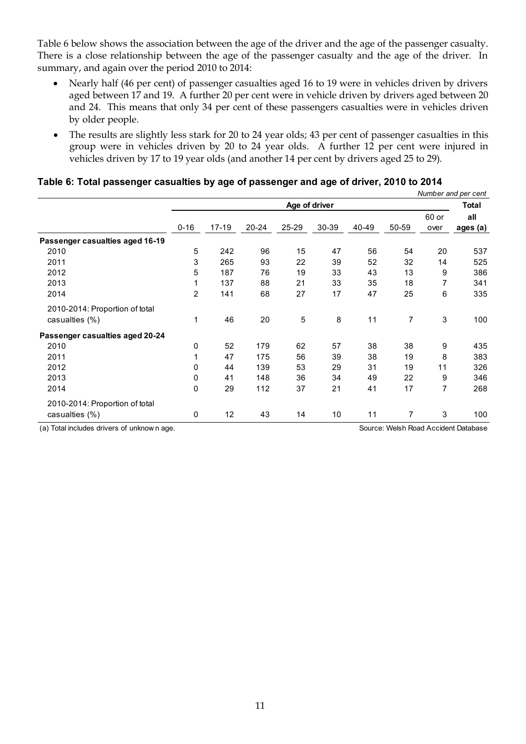Table 6 below shows the association between the age of the driver and the age of the passenger casualty. There is a close relationship between the age of the passenger casualty and the age of the driver. In summary, and again over the period 2010 to 2014:

- Nearly half (46 per cent) of passenger casualties aged 16 to 19 were in vehicles driven by drivers aged between 17 and 19. A further 20 per cent were in vehicle driven by drivers aged between 20 and 24. This means that only 34 per cent of these passengers casualties were in vehicles driven by older people.
- The results are slightly less stark for 20 to 24 year olds; 43 per cent of passenger casualties in this group were in vehicles driven by 20 to 24 year olds. A further 12 per cent were injured in vehicles driven by 17 to 19 year olds (and another 14 per cent by drivers aged 25 to 29).

|                                            |                |       |       |               |       |       |                |               | Number and per cent                  |
|--------------------------------------------|----------------|-------|-------|---------------|-------|-------|----------------|---------------|--------------------------------------|
|                                            |                |       |       | Age of driver |       |       |                |               | Total                                |
|                                            | $0 - 16$       | 17-19 | 20-24 | 25-29         | 30-39 | 40-49 | 50-59          | 60 or<br>over | all<br>ages (a)                      |
| Passenger casualties aged 16-19            |                |       |       |               |       |       |                |               |                                      |
| 2010                                       | 5              | 242   | 96    | 15            | 47    | 56    | 54             | 20            | 537                                  |
| 2011                                       | 3              | 265   | 93    | 22            | 39    | 52    | 32             | 14            | 525                                  |
| 2012                                       | 5              | 187   | 76    | 19            | 33    | 43    | 13             | 9             | 386                                  |
| 2013                                       | 1              | 137   | 88    | 21            | 33    | 35    | 18             | 7             | 341                                  |
| 2014                                       | $\overline{2}$ | 141   | 68    | 27            | 17    | 47    | 25             | 6             | 335                                  |
| 2010-2014: Proportion of total             |                |       |       |               |       |       |                |               |                                      |
| casualties (%)                             | 1              | 46    | 20    | 5             | 8     | 11    | $\overline{7}$ | 3             | 100                                  |
| Passenger casualties aged 20-24            |                |       |       |               |       |       |                |               |                                      |
| 2010                                       | 0              | 52    | 179   | 62            | 57    | 38    | 38             | 9             | 435                                  |
| 2011                                       | 1              | 47    | 175   | 56            | 39    | 38    | 19             | 8             | 383                                  |
| 2012                                       | 0              | 44    | 139   | 53            | 29    | 31    | 19             | 11            | 326                                  |
| 2013                                       | 0              | 41    | 148   | 36            | 34    | 49    | 22             | 9             | 346                                  |
| 2014                                       | 0              | 29    | 112   | 37            | 21    | 41    | 17             | 7             | 268                                  |
| 2010-2014: Proportion of total             |                |       |       |               |       |       |                |               |                                      |
| casualties (%)                             | 0              | 12    | 43    | 14            | 10    | 11    | 7              | 3             | 100                                  |
| (a) Total includes drivers of unknown age. |                |       |       |               |       |       |                |               | Source: Welsh Road Accident Database |
|                                            |                |       |       |               |       |       |                |               |                                      |

#### **Table 6: Total passenger casualties by age of passenger and age of driver, 2010 to 2014**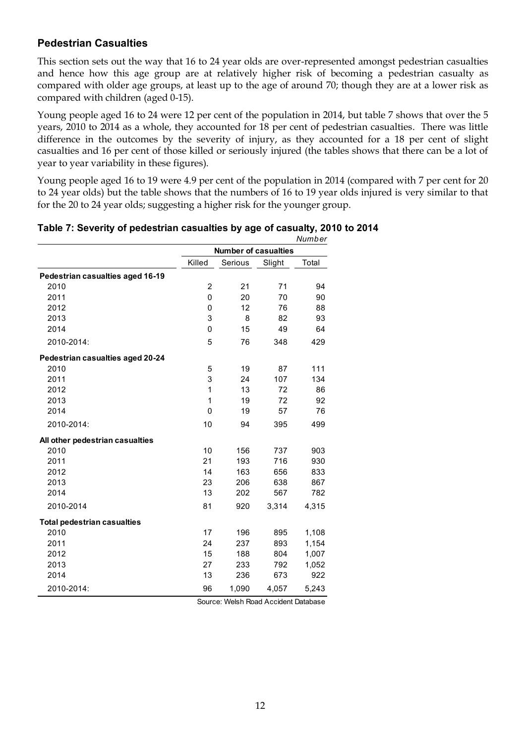## **Pedestrian Casualties**

This section sets out the way that 16 to 24 year olds are over-represented amongst pedestrian casualties and hence how this age group are at relatively higher risk of becoming a pedestrian casualty as compared with older age groups, at least up to the age of around 70; though they are at a lower risk as compared with children (aged 0-15).

Young people aged 16 to 24 were 12 per cent of the population in 2014, but table 7 shows that over the 5 years, 2010 to 2014 as a whole, they accounted for 18 per cent of pedestrian casualties. There was little difference in the outcomes by the severity of injury, as they accounted for a 18 per cent of slight casualties and 16 per cent of those killed or seriously injured (the tables shows that there can be a lot of year to year variability in these figures).

Young people aged 16 to 19 were 4.9 per cent of the population in 2014 (compared with 7 per cent for 20 to 24 year olds) but the table shows that the numbers of 16 to 19 year olds injured is very similar to that for the 20 to 24 year olds; suggesting a higher risk for the younger group.

|                                    |                  |                             |        | Number |
|------------------------------------|------------------|-----------------------------|--------|--------|
|                                    |                  | <b>Number of casualties</b> |        |        |
|                                    | Killed           | Serious                     | Slight | Total  |
| Pedestrian casualties aged 16-19   |                  |                             |        |        |
| 2010                               | $\boldsymbol{2}$ | 21                          | 71     | 94     |
| 2011                               | 0                | 20                          | 70     | 90     |
| 2012                               | 0                | 12                          | 76     | 88     |
| 2013                               | 3                | 8                           | 82     | 93     |
| 2014                               | $\mathbf{0}$     | 15                          | 49     | 64     |
| 2010-2014:                         | 5                | 76                          | 348    | 429    |
| Pedestrian casualties aged 20-24   |                  |                             |        |        |
| 2010                               | 5                | 19                          | 87     | 111    |
| 2011                               | 3                | 24                          | 107    | 134    |
| 2012                               | 1                | 13                          | 72     | 86     |
| 2013                               | 1                | 19                          | 72     | 92     |
| 2014                               | $\mathbf 0$      | 19                          | 57     | 76     |
| 2010-2014:                         | 10               | 94                          | 395    | 499    |
| All other pedestrian casualties    |                  |                             |        |        |
| 2010                               | 10               | 156                         | 737    | 903    |
| 2011                               | 21               | 193                         | 716    | 930    |
| 2012                               | 14               | 163                         | 656    | 833    |
| 2013                               | 23               | 206                         | 638    | 867    |
| 2014                               | 13               | 202                         | 567    | 782    |
| 2010-2014                          | 81               | 920                         | 3,314  | 4,315  |
| <b>Total pedestrian casualties</b> |                  |                             |        |        |
| 2010                               | 17               | 196                         | 895    | 1,108  |
| 2011                               | 24               | 237                         | 893    | 1,154  |
| 2012                               | 15               | 188                         | 804    | 1,007  |
| 2013                               | 27               | 233                         | 792    | 1,052  |
| 2014                               | 13               | 236                         | 673    | 922    |
| 2010-2014:                         | 96               | 1,090                       | 4,057  | 5,243  |

#### **Table 7: Severity of pedestrian casualties by age of casualty, 2010 to 2014**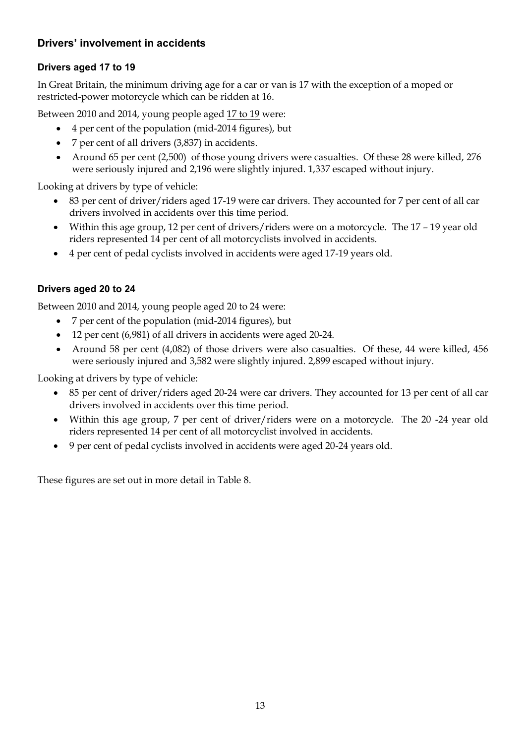## **Drivers' involvement in accidents**

## **Drivers aged 17 to 19**

In Great Britain, the minimum driving age for a car or van is 17 with the exception of a moped or restricted-power motorcycle which can be ridden at 16.

Between 2010 and 2014, young people aged 17 to 19 were:

- 4 per cent of the population (mid-2014 figures), but
- 7 per cent of all drivers (3,837) in accidents.
- Around 65 per cent (2,500) of those young drivers were casualties. Of these 28 were killed, 276 were seriously injured and 2,196 were slightly injured. 1,337 escaped without injury.

Looking at drivers by type of vehicle:

- 83 per cent of driver/riders aged 17-19 were car drivers. They accounted for 7 per cent of all car drivers involved in accidents over this time period.
- Within this age group, 12 per cent of drivers/riders were on a motorcycle. The 17 19 year old riders represented 14 per cent of all motorcyclists involved in accidents.
- 4 per cent of pedal cyclists involved in accidents were aged 17-19 years old.

## **Drivers aged 20 to 24**

Between 2010 and 2014, young people aged 20 to 24 were:

- 7 per cent of the population (mid-2014 figures), but
- 12 per cent (6,981) of all drivers in accidents were aged 20-24.
- Around 58 per cent (4,082) of those drivers were also casualties. Of these, 44 were killed, 456 were seriously injured and 3,582 were slightly injured. 2,899 escaped without injury.

Looking at drivers by type of vehicle:

- 85 per cent of driver/riders aged 20-24 were car drivers. They accounted for 13 per cent of all car drivers involved in accidents over this time period.
- Within this age group, 7 per cent of driver/riders were on a motorcycle. The 20 -24 year old riders represented 14 per cent of all motorcyclist involved in accidents.
- 9 per cent of pedal cyclists involved in accidents were aged 20-24 years old.

These figures are set out in more detail in Table 8.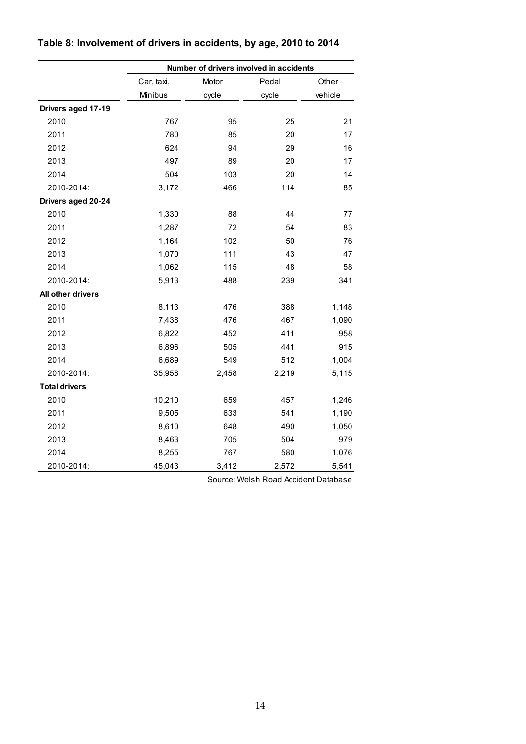|                      | Number of drivers involved in accidents |       |       |         |  |
|----------------------|-----------------------------------------|-------|-------|---------|--|
|                      | Car, taxi,                              | Motor | Pedal | Other   |  |
|                      | Minibus                                 | cycle | cycle | vehicle |  |
| Drivers aged 17-19   |                                         |       |       |         |  |
| 2010                 | 767                                     | 95    | 25    | 21      |  |
| 2011                 | 780                                     | 85    | 20    | 17      |  |
| 2012                 | 624                                     | 94    | 29    | 16      |  |
| 2013                 | 497                                     | 89    | 20    | 17      |  |
| 2014                 | 504                                     | 103   | 20    | 14      |  |
| 2010-2014:           | 3,172                                   | 466   | 114   | 85      |  |
| Drivers aged 20-24   |                                         |       |       |         |  |
| 2010                 | 1,330                                   | 88    | 44    | 77      |  |
| 2011                 | 1,287                                   | 72    | 54    | 83      |  |
| 2012                 | 1,164                                   | 102   | 50    | 76      |  |
| 2013                 | 1,070                                   | 111   | 43    | 47      |  |
| 2014                 | 1,062                                   | 115   | 48    | 58      |  |
| 2010-2014:           | 5,913                                   | 488   | 239   | 341     |  |
| All other drivers    |                                         |       |       |         |  |
| 2010                 | 8,113                                   | 476   | 388   | 1,148   |  |
| 2011                 | 7,438                                   | 476   | 467   | 1,090   |  |
| 2012                 | 6,822                                   | 452   | 411   | 958     |  |
| 2013                 | 6,896                                   | 505   | 441   | 915     |  |
| 2014                 | 6,689                                   | 549   | 512   | 1,004   |  |
| 2010-2014:           | 35,958                                  | 2,458 | 2,219 | 5,115   |  |
| <b>Total drivers</b> |                                         |       |       |         |  |
| 2010                 | 10,210                                  | 659   | 457   | 1,246   |  |
| 2011                 | 9,505                                   | 633   | 541   | 1,190   |  |
| 2012                 | 8,610                                   | 648   | 490   | 1,050   |  |
| 2013                 | 8,463                                   | 705   | 504   | 979     |  |
| 2014                 | 8,255                                   | 767   | 580   | 1,076   |  |
| 2010-2014:           | 45,043                                  | 3,412 | 2,572 | 5,541   |  |

# **Table 8: Involvement of drivers in accidents, by age, 2010 to 2014**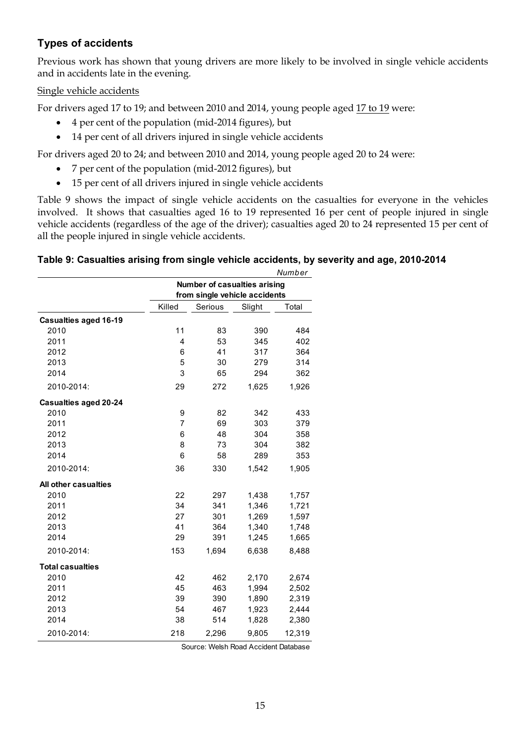## **Types of accidents**

Previous work has shown that young drivers are more likely to be involved in single vehicle accidents and in accidents late in the evening.

#### Single vehicle accidents

For drivers aged 17 to 19; and between 2010 and 2014, young people aged 17 to 19 were:

- 4 per cent of the population (mid-2014 figures), but
- 14 per cent of all drivers injured in single vehicle accidents

For drivers aged 20 to 24; and between 2010 and 2014, young people aged 20 to 24 were:

- 7 per cent of the population (mid-2012 figures), but
- 15 per cent of all drivers injured in single vehicle accidents

Table 9 shows the impact of single vehicle accidents on the casualties for everyone in the vehicles involved. It shows that casualties aged 16 to 19 represented 16 per cent of people injured in single vehicle accidents (regardless of the age of the driver); casualties aged 20 to 24 represented 15 per cent of all the people injured in single vehicle accidents.

#### **Table 9: Casualties arising from single vehicle accidents, by severity and age, 2010-2014**

|                              |                                     |         |        | Number |  |  |
|------------------------------|-------------------------------------|---------|--------|--------|--|--|
|                              | <b>Number of casualties arising</b> |         |        |        |  |  |
|                              | from single vehicle accidents       |         |        |        |  |  |
|                              | Killed                              | Serious | Slight | Total  |  |  |
| <b>Casualties aged 16-19</b> |                                     |         |        |        |  |  |
| 2010                         | 11                                  | 83      | 390    | 484    |  |  |
| 2011                         | 4                                   | 53      | 345    | 402    |  |  |
| 2012                         | 6                                   | 41      | 317    | 364    |  |  |
| 2013                         | 5                                   | 30      | 279    | 314    |  |  |
| 2014                         | 3                                   | 65      | 294    | 362    |  |  |
| 2010-2014:                   | 29                                  | 272     | 1,625  | 1,926  |  |  |
| <b>Casualties aged 20-24</b> |                                     |         |        |        |  |  |
| 2010                         | 9                                   | 82      | 342    | 433    |  |  |
| 2011                         | 7                                   | 69      | 303    | 379    |  |  |
| 2012                         | 6                                   | 48      | 304    | 358    |  |  |
| 2013                         | 8                                   | 73      | 304    | 382    |  |  |
| 2014                         | 6                                   | 58      | 289    | 353    |  |  |
| 2010-2014:                   | 36                                  | 330     | 1,542  | 1,905  |  |  |
| All other casualties         |                                     |         |        |        |  |  |
| 2010                         | 22                                  | 297     | 1,438  | 1,757  |  |  |
| 2011                         | 34                                  | 341     | 1,346  | 1,721  |  |  |
| 2012                         | 27                                  | 301     | 1,269  | 1,597  |  |  |
| 2013                         | 41                                  | 364     | 1,340  | 1,748  |  |  |
| 2014                         | 29                                  | 391     | 1,245  | 1,665  |  |  |
| 2010-2014:                   | 153                                 | 1,694   | 6,638  | 8,488  |  |  |
| <b>Total casualties</b>      |                                     |         |        |        |  |  |
| 2010                         | 42                                  | 462     | 2,170  | 2,674  |  |  |
| 2011                         | 45                                  | 463     | 1,994  | 2,502  |  |  |
| 2012                         | 39                                  | 390     | 1,890  | 2,319  |  |  |
| 2013                         | 54                                  | 467     | 1,923  | 2,444  |  |  |
| 2014                         | 38                                  | 514     | 1,828  | 2,380  |  |  |
| 2010-2014:                   | 218                                 | 2,296   | 9,805  | 12,319 |  |  |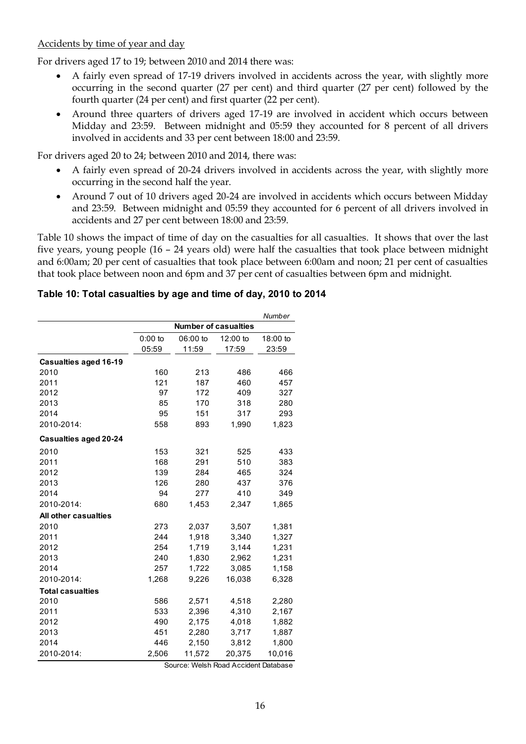## Accidents by time of year and day

For drivers aged 17 to 19; between 2010 and 2014 there was:

- A fairly even spread of 17-19 drivers involved in accidents across the year, with slightly more occurring in the second quarter (27 per cent) and third quarter (27 per cent) followed by the fourth quarter (24 per cent) and first quarter (22 per cent).
- Around three quarters of drivers aged 17-19 are involved in accident which occurs between Midday and 23:59. Between midnight and 05:59 they accounted for 8 percent of all drivers involved in accidents and 33 per cent between 18:00 and 23:59.

For drivers aged 20 to 24; between 2010 and 2014, there was:

- A fairly even spread of 20-24 drivers involved in accidents across the year, with slightly more occurring in the second half the year.
- Around 7 out of 10 drivers aged 20-24 are involved in accidents which occurs between Midday and 23:59. Between midnight and 05:59 they accounted for 6 percent of all drivers involved in accidents and 27 per cent between 18:00 and 23:59.

Table 10 shows the impact of time of day on the casualties for all casualties. It shows that over the last five years, young people (16 – 24 years old) were half the casualties that took place between midnight and 6:00am; 20 per cent of casualties that took place between 6:00am and noon; 21 per cent of casualties that took place between noon and 6pm and 37 per cent of casualties between 6pm and midnight.

## **Table 10: Total casualties by age and time of day, 2010 to 2014**

|                              |                             |          |          | Number   |
|------------------------------|-----------------------------|----------|----------|----------|
|                              | <b>Number of casualties</b> |          |          |          |
|                              | $0:00$ to                   | 06:00 to | 12:00 to | 18:00 to |
|                              | 05:59                       | 11:59    | 17:59    | 23:59    |
| Casualties aged 16-19        |                             |          |          |          |
| 2010                         | 160                         | 213      | 486      | 466      |
| 2011                         | 121                         | 187      | 460      | 457      |
| 2012                         | 97                          | 172      | 409      | 327      |
| 2013                         | 85                          | 170      | 318      | 280      |
| 2014                         | 95                          | 151      | 317      | 293      |
| 2010-2014:                   | 558                         | 893      | 1,990    | 1,823    |
| <b>Casualties aged 20-24</b> |                             |          |          |          |
| 2010                         | 153                         | 321      | 525      | 433      |
| 2011                         | 168                         | 291      | 510      | 383      |
| 2012                         | 139                         | 284      | 465      | 324      |
| 2013                         | 126                         | 280      | 437      | 376      |
| 2014                         | 94                          | 277      | 410      | 349      |
| 2010-2014:                   | 680                         | 1,453    | 2,347    | 1,865    |
| All other casualties         |                             |          |          |          |
| 2010                         | 273                         | 2,037    | 3,507    | 1,381    |
| 2011                         | 244                         | 1,918    | 3,340    | 1,327    |
| 2012                         | 254                         | 1,719    | 3,144    | 1,231    |
| 2013                         | 240                         | 1,830    | 2,962    | 1,231    |
| 2014                         | 257                         | 1,722    | 3,085    | 1,158    |
| 2010-2014:                   | 1,268                       | 9,226    | 16,038   | 6,328    |
| <b>Total casualties</b>      |                             |          |          |          |
| 2010                         | 586                         | 2,571    | 4,518    | 2,280    |
| 2011                         | 533                         | 2,396    | 4,310    | 2,167    |
| 2012                         | 490                         | 2,175    | 4,018    | 1,882    |
| 2013                         | 451                         | 2,280    | 3,717    | 1,887    |
| 2014                         | 446                         | 2,150    | 3,812    | 1,800    |
| 2010-2014:                   | 2,506                       | 11,572   | 20,375   | 10,016   |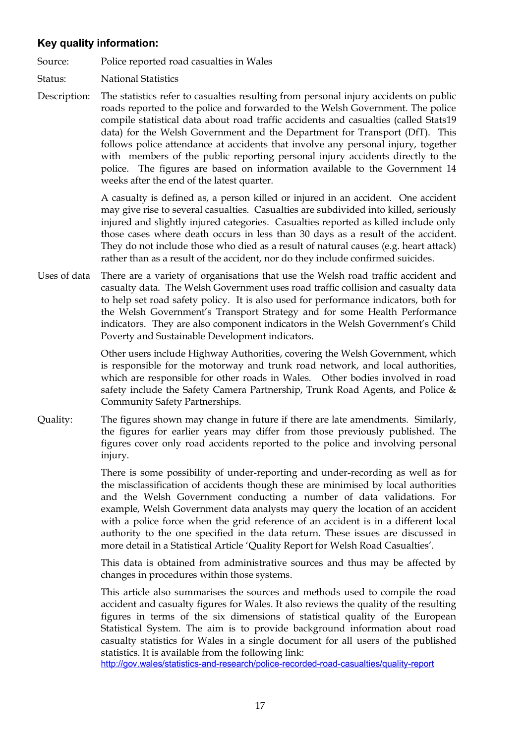## **Key quality information:**

Source: Police reported road casualties in Wales

- Status: National Statistics
- Description: The statistics refer to casualties resulting from personal injury accidents on public roads reported to the police and forwarded to the Welsh Government. The police compile statistical data about road traffic accidents and casualties (called Stats19 data) for the Welsh Government and the Department for Transport (DfT). This follows police attendance at accidents that involve any personal injury, together with members of the public reporting personal injury accidents directly to the police. The figures are based on information available to the Government 14 weeks after the end of the latest quarter.

A casualty is defined as, a person killed or injured in an accident. One accident may give rise to several casualties. Casualties are subdivided into killed, seriously injured and slightly injured categories. Casualties reported as killed include only those cases where death occurs in less than 30 days as a result of the accident. They do not include those who died as a result of natural causes (e.g. heart attack) rather than as a result of the accident, nor do they include confirmed suicides.

Uses of data There are a variety of organisations that use the Welsh road traffic accident and casualty data. The Welsh Government uses road traffic collision and casualty data to help set road safety policy. It is also used for performance indicators, both for the Welsh Government's Transport Strategy and for some Health Performance indicators. They are also component indicators in the Welsh Government's Child Poverty and Sustainable Development indicators.

> Other users include Highway Authorities, covering the Welsh Government, which is responsible for the motorway and trunk road network, and local authorities, which are responsible for other roads in Wales. Other bodies involved in road safety include the Safety Camera Partnership, Trunk Road Agents, and Police & Community Safety Partnerships.

Quality: The figures shown may change in future if there are late amendments. Similarly, the figures for earlier years may differ from those previously published. The figures cover only road accidents reported to the police and involving personal injury.

> There is some possibility of under-reporting and under-recording as well as for the misclassification of accidents though these are minimised by local authorities and the Welsh Government conducting a number of data validations. For example, Welsh Government data analysts may query the location of an accident with a police force when the grid reference of an accident is in a different local authority to the one specified in the data return. These issues are discussed in more detail in a Statistical Article 'Quality Report for Welsh Road Casualties'.

> This data is obtained from administrative sources and thus may be affected by changes in procedures within those systems.

> This article also summarises the sources and methods used to compile the road accident and casualty figures for Wales. It also reviews the quality of the resulting figures in terms of the six dimensions of statistical quality of the European Statistical System. The aim is to provide background information about road casualty statistics for Wales in a single document for all users of the published statistics. It is available from the following link:

<http://gov.wales/statistics-and-research/police-recorded-road-casualties/quality-report>